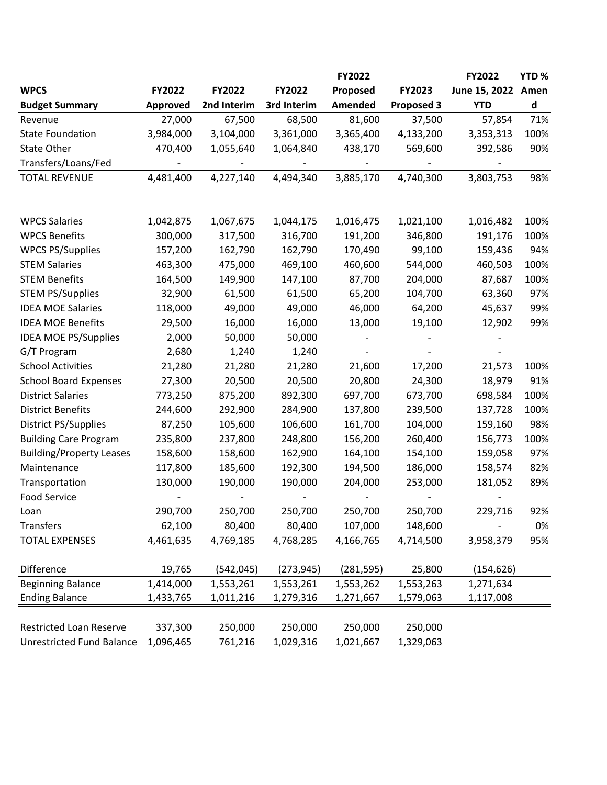|                                           |                     |                     |                    | FY2022               |                      | FY2022            | YTD%      |
|-------------------------------------------|---------------------|---------------------|--------------------|----------------------|----------------------|-------------------|-----------|
| <b>WPCS</b>                               | FY2022              | FY2022              | FY2022             | Proposed             | FY2023               | June 15, 2022     | Amen      |
| <b>Budget Summary</b>                     | Approved            | 2nd Interim         | 3rd Interim        | Amended              | <b>Proposed 3</b>    | <b>YTD</b>        | d         |
| Revenue                                   | 27,000              | 67,500              | 68,500             | 81,600               | 37,500               | 57,854            | 71%       |
| <b>State Foundation</b>                   | 3,984,000           | 3,104,000           | 3,361,000          | 3,365,400            | 4,133,200            | 3,353,313         | 100%      |
| <b>State Other</b>                        | 470,400             | 1,055,640           | 1,064,840          | 438,170              | 569,600              | 392,586           | 90%       |
| Transfers/Loans/Fed                       |                     |                     |                    |                      |                      |                   |           |
| <b>TOTAL REVENUE</b>                      | 4,481,400           | 4,227,140           | 4,494,340          | 3,885,170            | 4,740,300            | 3,803,753         | 98%       |
| <b>WPCS Salaries</b>                      | 1,042,875           | 1,067,675           | 1,044,175          | 1,016,475            | 1,021,100            | 1,016,482         | 100%      |
| <b>WPCS Benefits</b>                      | 300,000             | 317,500             | 316,700            | 191,200              | 346,800              | 191,176           | 100%      |
| <b>WPCS PS/Supplies</b>                   |                     |                     |                    |                      | 99,100               | 159,436           | 94%       |
| <b>STEM Salaries</b>                      | 157,200             | 162,790<br>475,000  | 162,790<br>469,100 | 170,490              | 544,000              |                   | 100%      |
| <b>STEM Benefits</b>                      | 463,300<br>164,500  | 149,900             | 147,100            | 460,600<br>87,700    | 204,000              | 460,503<br>87,687 | 100%      |
| <b>STEM PS/Supplies</b>                   | 32,900              | 61,500              | 61,500             | 65,200               | 104,700              | 63,360            | 97%       |
| <b>IDEA MOE Salaries</b>                  | 118,000             | 49,000              | 49,000             | 46,000               | 64,200               | 45,637            | 99%       |
| <b>IDEA MOE Benefits</b>                  | 29,500              | 16,000              | 16,000             | 13,000               | 19,100               | 12,902            | 99%       |
| <b>IDEA MOE PS/Supplies</b>               | 2,000               | 50,000              | 50,000             |                      |                      |                   |           |
| G/T Program                               | 2,680               | 1,240               | 1,240              |                      |                      |                   |           |
| <b>School Activities</b>                  | 21,280              | 21,280              | 21,280             | 21,600               | 17,200               | 21,573            | 100%      |
| <b>School Board Expenses</b>              | 27,300              | 20,500              | 20,500             | 20,800               | 24,300               | 18,979            | 91%       |
| <b>District Salaries</b>                  | 773,250             | 875,200             | 892,300            | 697,700              | 673,700              | 698,584           | 100%      |
| <b>District Benefits</b>                  |                     | 292,900             |                    |                      |                      | 137,728           | 100%      |
| District PS/Supplies                      | 244,600<br>87,250   | 105,600             | 284,900<br>106,600 | 137,800<br>161,700   | 239,500<br>104,000   |                   | 98%       |
|                                           |                     |                     |                    |                      |                      | 159,160           |           |
| <b>Building Care Program</b>              | 235,800             | 237,800             | 248,800            | 156,200              | 260,400              | 156,773           | 100%      |
| <b>Building/Property Leases</b>           | 158,600             | 158,600             | 162,900            | 164,100              | 154,100              | 159,058           | 97%       |
| Maintenance                               | 117,800             | 185,600             | 192,300            | 194,500              | 186,000              | 158,574           | 82%       |
| Transportation                            | 130,000             | 190,000             | 190,000            | 204,000              | 253,000              | 181,052           | 89%       |
| <b>Food Service</b>                       |                     |                     |                    |                      |                      |                   |           |
| Loan                                      | 290,700             | 250,700             | 250,700<br>80,400  | 250,700              | 250,700              | 229,716           | 92%       |
| <b>Transfers</b><br><b>TOTAL EXPENSES</b> | 62,100<br>4,461,635 | 80,400<br>4,769,185 | 4,768,285          | 107,000<br>4,166,765 | 148,600<br>4,714,500 |                   | 0%<br>95% |
|                                           |                     |                     |                    |                      |                      | 3,958,379         |           |
| Difference                                | 19,765              | (542, 045)          | (273, 945)         | (281, 595)           | 25,800               | (154, 626)        |           |
| <b>Beginning Balance</b>                  | 1,414,000           | 1,553,261           | 1,553,261          | 1,553,262            | 1,553,263            | 1,271,634         |           |
| <b>Ending Balance</b>                     | 1,433,765           | 1,011,216           | 1,279,316          | 1,271,667            | 1,579,063            | 1,117,008         |           |
|                                           |                     |                     |                    |                      |                      |                   |           |
| <b>Restricted Loan Reserve</b>            | 337,300             | 250,000             | 250,000            | 250,000              | 250,000              |                   |           |
| <b>Unrestricted Fund Balance</b>          | 1,096,465           | 761,216             | 1,029,316          | 1,021,667            | 1,329,063            |                   |           |